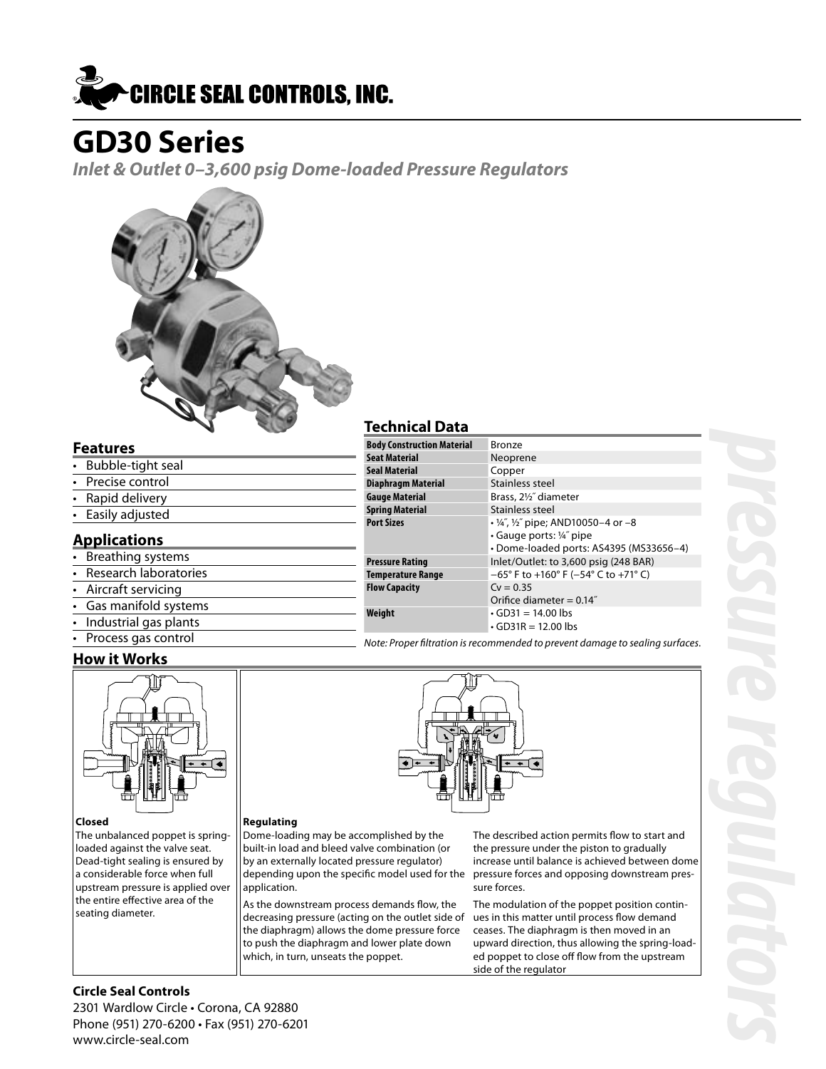

# **GD30 Series**

**Inlet & Outlet 0–3,600 psig Dome-loaded Pressure Regulators**



### **Features**

- Bubble-tight seal Precise control • Rapid delivery
- Easily adjusted

### **Applications**

- Breathing systems
- Research laboratories
- Aircraft servicing
- Gas manifold systems
- Industrial gas plants
- Process gas control

### **How it Works**



#### **Closed**

The unbalanced poppet is springloaded against the valve seat. Dead-tight sealing is ensured by a considerable force when full upstream pressure is applied over the entire effective area of the seating diameter.

### **Technical Data**

| .                                 |                                                                                                                             |
|-----------------------------------|-----------------------------------------------------------------------------------------------------------------------------|
| <b>Body Construction Material</b> | Bronze                                                                                                                      |
| <b>Seat Material</b>              | Neoprene                                                                                                                    |
| <b>Seal Material</b>              | Copper                                                                                                                      |
| <b>Diaphragm Material</b>         | Stainless steel                                                                                                             |
| <b>Gauge Material</b>             | Brass, 21/2" diameter                                                                                                       |
| <b>Spring Material</b>            | Stainless steel                                                                                                             |
| <b>Port Sizes</b>                 | $\cdot$ ¼", ½" pipe; AND10050-4 or -8<br>$\cdot$ Gauge ports: $\frac{1}{4}$ pipe<br>• Dome-loaded ports: AS4395 (MS33656-4) |
| <b>Pressure Rating</b>            | Inlet/Outlet: to 3,600 psig (248 BAR)                                                                                       |
| <b>Temperature Range</b>          | $-65^{\circ}$ F to +160° F (-54° C to +71° C)                                                                               |
| <b>Flow Capacity</b>              | $Cv = 0.35$<br>Orifice diameter = $0.14$ "                                                                                  |
| Weight                            | $\cdot$ GD31 = 14.00 lbs<br>$\cdot$ GD31R = 12.00 lbs                                                                       |

Note: Proper filtration is recommended to prevent damage to sealing surfaces.



#### depending upon the specific model used for the The described action permits flow to start and the pressure under the piston to gradually increase until balance is achieved between dome pressure forces and opposing downstream pressure forces.

The modulation of the poppet position continues in this matter until process flow demand ceases. The diaphragm is then moved in an upward direction, thus allowing the spring-loaded poppet to close off flow from the upstream side of the regulator

### **Circle Seal Controls**

2301 Wardlow Circle • Corona, CA 92880 Phone (951) 270-6200 • Fax (951) 270-6201 www.circle-seal.com

**Regulating**

application.

Dome-loading may be accomplished by the built-in load and bleed valve combination (or by an externally located pressure regulator)

As the downstream process demands flow, the decreasing pressure (acting on the outlet side of the diaphragm) allows the dome pressure force to push the diaphragm and lower plate down which, in turn, unseats the poppet.